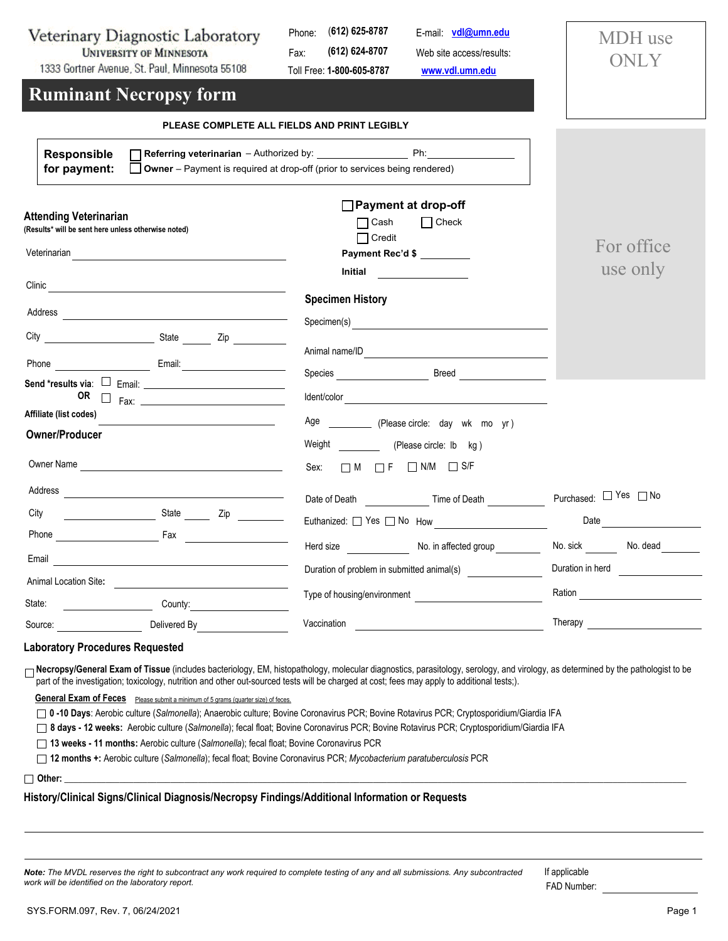## Veterinary Diagnostic Laboratory **UNIVERSITY OF MINNESOTA**

1333 Gortner Avenue, St. Paul, Minnesota 55108

Phone: (**612) 625-8787** Fax: Toll Free: **1-800-605-8787 (612) 624-8707** Web site access/results: **<www.vdl.umn.edu>** E-mail: **[vdl@umn.edu](mailto:vdl@umn.edu)**

MDH use **ONLY** 

## **Ruminant Necropsy form**

|                                                                                                                                                                                                                                                                                    | PLEASE COMPLETE ALL FIELDS AND PRINT LEGIBLY                                                                                                                                                                                         |                                                                                                                                                                                                                                |
|------------------------------------------------------------------------------------------------------------------------------------------------------------------------------------------------------------------------------------------------------------------------------------|--------------------------------------------------------------------------------------------------------------------------------------------------------------------------------------------------------------------------------------|--------------------------------------------------------------------------------------------------------------------------------------------------------------------------------------------------------------------------------|
| Responsible<br>for payment:                                                                                                                                                                                                                                                        | $\Box$ Owner – Payment is required at drop-off (prior to services being rendered)                                                                                                                                                    |                                                                                                                                                                                                                                |
| Attending Veterinarian<br>(Results* will be sent here unless otherwise noted)                                                                                                                                                                                                      | $\Box$ Payment at drop-off<br>$\Box$ Cash<br>$\Box$ Check<br>$\Box$ Credit<br><b>Payment Rec'd \$</b><br>Initial<br><u> 1989 - Jan Store, amerikansk politiker</u>                                                                   | For office<br>use only                                                                                                                                                                                                         |
|                                                                                                                                                                                                                                                                                    | <b>Specimen History</b>                                                                                                                                                                                                              |                                                                                                                                                                                                                                |
|                                                                                                                                                                                                                                                                                    | Specimen(s)<br>Species <b>Example 2</b> Breed <b>Example 2</b> Breed                                                                                                                                                                 |                                                                                                                                                                                                                                |
|                                                                                                                                                                                                                                                                                    |                                                                                                                                                                                                                                      |                                                                                                                                                                                                                                |
| Affiliate (list codes)<br><u> 1990 - Johann Barbara, martxa alemaniar populari (</u><br><b>Owner/Producer</b>                                                                                                                                                                      | Age _____________ (Please circle: day wk mo yr)                                                                                                                                                                                      |                                                                                                                                                                                                                                |
| Owner Name                                                                                                                                                                                                                                                                         | Weight (Please circle: Ib kg)<br>Sex: $\Box M$ $\Box F$ $\Box N/M$ $\Box S/F$                                                                                                                                                        |                                                                                                                                                                                                                                |
|                                                                                                                                                                                                                                                                                    | Date of Death Time of Death Charles Contains Date of Death                                                                                                                                                                           | Purchased: □ Yes □ No                                                                                                                                                                                                          |
|                                                                                                                                                                                                                                                                                    | Euthanized: Since The No How Shangham Management Contains the Management Contains the Management Contains the Management Contains the Management Contains the Management Contains the Management Contains the Management Conta       | Date and the contract of the contract of the contract of the contract of the contract of the contract of the contract of the contract of the contract of the contract of the contract of the contract of the contract of the c |
|                                                                                                                                                                                                                                                                                    | Herd size Mo. in affected group                                                                                                                                                                                                      | No. sick No. dead                                                                                                                                                                                                              |
| Email<br><u> 1980 - Jan Stein Stein Stein Stein Stein Stein Stein Stein Stein Stein Stein Stein Stein Stein Stein Stein S</u>                                                                                                                                                      |                                                                                                                                                                                                                                      | Duration in herd                                                                                                                                                                                                               |
| Animal Location Site:<br>State:                                                                                                                                                                                                                                                    | Type of housing/environment <b>contains the contract of the contract of the contract of the contract of the contract of the contract of the contract of the contract of the contract of the contract of the contract of the cont</b> | Ration <b>Ration</b>                                                                                                                                                                                                           |
| County:<br>Delivered By <b>Contract Property</b><br>Source: Source: Source: Source: Source: Source: Source: Source: Source: Source: Source: Source: Source: Source: Source: Source: Source: Source: Source: Source: Source: Source: Source: Source: Source: Source: Source: Source | Vaccination                                                                                                                                                                                                                          |                                                                                                                                                                                                                                |

## **Laboratory Procedures Requested**

□ Necropsy/General Exam of Tissue (includes bacteriology, EM, histopathology, molecular diagnostics, parasitology, serology, and virology, as determined by the pathologist to be part of the investigation; toxicology, nutrition and other out-sourced tests will be charged at cost; fees may apply to additional tests;).

General Exam of Feces Please submit a minimum of 5 grams (quarter size) of feces.

 **0 -10 Days**: Aerobic culture (*Salmonella*); Anaerobic culture; Bovine Coronavirus PCR; Bovine Rotavirus PCR; Cryptosporidium/Giardia IFA

 **8 days - 12 weeks:** Aerobic culture (*Salmonella*); fecal float; Bovine Coronavirus PCR; Bovine Rotavirus PCR; Cryptosporidium/Giardia IFA

 **13 weeks - 11 months:** Aerobic culture (*Salmonella*); fecal float; Bovine Coronavirus PCR

 **12 months +:** Aerobic culture (*Salmonella*); fecal float; Bovine Coronavirus PCR; *Mycobacterium paratuberculosis* PCR

 **Other:** \_\_\_\_\_\_\_\_\_\_\_\_\_\_\_\_\_\_\_\_\_\_\_\_\_\_\_\_\_\_\_\_\_\_\_\_\_\_\_\_\_\_\_\_\_\_\_\_\_\_\_\_\_\_\_\_\_\_\_\_\_\_\_\_\_\_\_\_\_\_\_\_\_\_\_\_\_\_\_\_\_\_\_\_\_\_\_\_\_\_\_\_\_\_\_\_\_\_\_\_\_\_\_\_\_\_\_\_\_\_\_\_\_\_\_\_\_\_\_\_\_\_\_\_\_\_\_\_\_\_\_\_\_\_\_

## **History/Clinical Signs/Clinical Diagnosis/Necropsy Findings/Additional Information or Requests**

| Note: The MVDL reserves the right to subcontract any work required to complete testing of any and all submissions. Any subcontracted |  |
|--------------------------------------------------------------------------------------------------------------------------------------|--|
| work will be identified on the laboratory report.                                                                                    |  |

FAD Number: If applicable